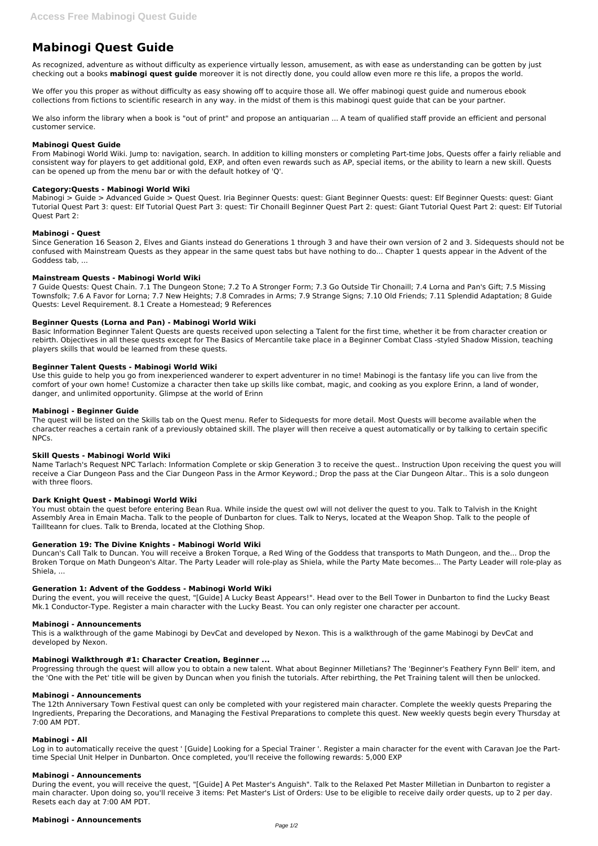# **Mabinogi Quest Guide**

As recognized, adventure as without difficulty as experience virtually lesson, amusement, as with ease as understanding can be gotten by just checking out a books **mabinogi quest guide** moreover it is not directly done, you could allow even more re this life, a propos the world.

We offer you this proper as without difficulty as easy showing off to acquire those all. We offer mabinogi quest guide and numerous ebook collections from fictions to scientific research in any way. in the midst of them is this mabinogi quest guide that can be your partner.

We also inform the library when a book is "out of print" and propose an antiquarian ... A team of qualified staff provide an efficient and personal customer service.

## **Mabinogi Quest Guide**

From Mabinogi World Wiki. Jump to: navigation, search. In addition to killing monsters or completing Part-time Jobs, Quests offer a fairly reliable and consistent way for players to get additional gold, EXP, and often even rewards such as AP, special items, or the ability to learn a new skill. Quests can be opened up from the menu bar or with the default hotkey of 'Q'.

## **Category:Quests - Mabinogi World Wiki**

Mabinogi > Guide > Advanced Guide > Quest Quest. Iria Beginner Quests: quest: Giant Beginner Quests: quest: Elf Beginner Quests: quest: Giant Tutorial Quest Part 3: quest: Elf Tutorial Quest Part 3: quest: Tir Chonaill Beginner Quest Part 2: quest: Giant Tutorial Quest Part 2: quest: Elf Tutorial Quest Part 2:

## **Mabinogi - Quest**

Since Generation 16 Season 2, Elves and Giants instead do Generations 1 through 3 and have their own version of 2 and 3. Sidequests should not be confused with Mainstream Quests as they appear in the same quest tabs but have nothing to do... Chapter 1 quests appear in the Advent of the Goddess tab, ...

## **Mainstream Quests - Mabinogi World Wiki**

You must obtain the quest before entering Bean Rua. While inside the quest owl will not deliver the quest to you. Talk to Talvish in the Knight Assembly Area in Emain Macha. Talk to the people of Dunbarton for clues. Talk to Nerys, located at the Weapon Shop. Talk to the people of Taillteann for clues. Talk to Brenda, located at the Clothing Shop.

7 Guide Quests: Quest Chain. 7.1 The Dungeon Stone; 7.2 To A Stronger Form; 7.3 Go Outside Tir Chonaill; 7.4 Lorna and Pan's Gift; 7.5 Missing Townsfolk; 7.6 A Favor for Lorna; 7.7 New Heights; 7.8 Comrades in Arms; 7.9 Strange Signs; 7.10 Old Friends; 7.11 Splendid Adaptation; 8 Guide Quests: Level Requirement. 8.1 Create a Homestead; 9 References

## **Beginner Quests (Lorna and Pan) - Mabinogi World Wiki**

Basic Information Beginner Talent Quests are quests received upon selecting a Talent for the first time, whether it be from character creation or rebirth. Objectives in all these quests except for The Basics of Mercantile take place in a Beginner Combat Class -styled Shadow Mission, teaching players skills that would be learned from these quests.

## **Beginner Talent Quests - Mabinogi World Wiki**

Use this guide to help you go from inexperienced wanderer to expert adventurer in no time! Mabinogi is the fantasy life you can live from the comfort of your own home! Customize a character then take up skills like combat, magic, and cooking as you explore Erinn, a land of wonder, danger, and unlimited opportunity. Glimpse at the world of Erinn

## **Mabinogi - Beginner Guide**

The quest will be listed on the Skills tab on the Quest menu. Refer to Sidequests for more detail. Most Quests will become available when the character reaches a certain rank of a previously obtained skill. The player will then receive a quest automatically or by talking to certain specific NPCs.

## **Skill Quests - Mabinogi World Wiki**

Name Tarlach's Request NPC Tarlach: Information Complete or skip Generation 3 to receive the quest.. Instruction Upon receiving the quest you will receive a Ciar Dungeon Pass and the Ciar Dungeon Pass in the Armor Keyword.; Drop the pass at the Ciar Dungeon Altar.. This is a solo dungeon with three floors.

## **Dark Knight Quest - Mabinogi World Wiki**

## **Generation 19: The Divine Knights - Mabinogi World Wiki**

Duncan's Call Talk to Duncan. You will receive a Broken Torque, a Red Wing of the Goddess that transports to Math Dungeon, and the... Drop the Broken Torque on Math Dungeon's Altar. The Party Leader will role-play as Shiela, while the Party Mate becomes... The Party Leader will role-play as Shiela, ...

## **Generation 1: Advent of the Goddess - Mabinogi World Wiki**

During the event, you will receive the quest, "[Guide] A Lucky Beast Appears!". Head over to the Bell Tower in Dunbarton to find the Lucky Beast Mk.1 Conductor-Type. Register a main character with the Lucky Beast. You can only register one character per account.

#### **Mabinogi - Announcements**

This is a walkthrough of the game Mabinogi by DevCat and developed by Nexon. This is a walkthrough of the game Mabinogi by DevCat and

developed by Nexon.

#### **Mabinogi Walkthrough #1: Character Creation, Beginner ...**

Progressing through the quest will allow you to obtain a new talent. What about Beginner Milletians? The 'Beginner's Feathery Fynn Bell' item, and the 'One with the Pet' title will be given by Duncan when you finish the tutorials. After rebirthing, the Pet Training talent will then be unlocked.

#### **Mabinogi - Announcements**

The 12th Anniversary Town Festival quest can only be completed with your registered main character. Complete the weekly quests Preparing the Ingredients, Preparing the Decorations, and Managing the Festival Preparations to complete this quest. New weekly quests begin every Thursday at 7:00 AM PDT.

#### **Mabinogi - All**

Log in to automatically receive the quest ' [Guide] Looking for a Special Trainer '. Register a main character for the event with Caravan Joe the Parttime Special Unit Helper in Dunbarton. Once completed, you'll receive the following rewards: 5,000 EXP

#### **Mabinogi - Announcements**

During the event, you will receive the quest, "[Guide] A Pet Master's Anguish". Talk to the Relaxed Pet Master Milletian in Dunbarton to register a main character. Upon doing so, you'll receive 3 items: Pet Master's List of Orders: Use to be eligible to receive daily order quests, up to 2 per day. Resets each day at 7:00 AM PDT.

**Mabinogi - Announcements**